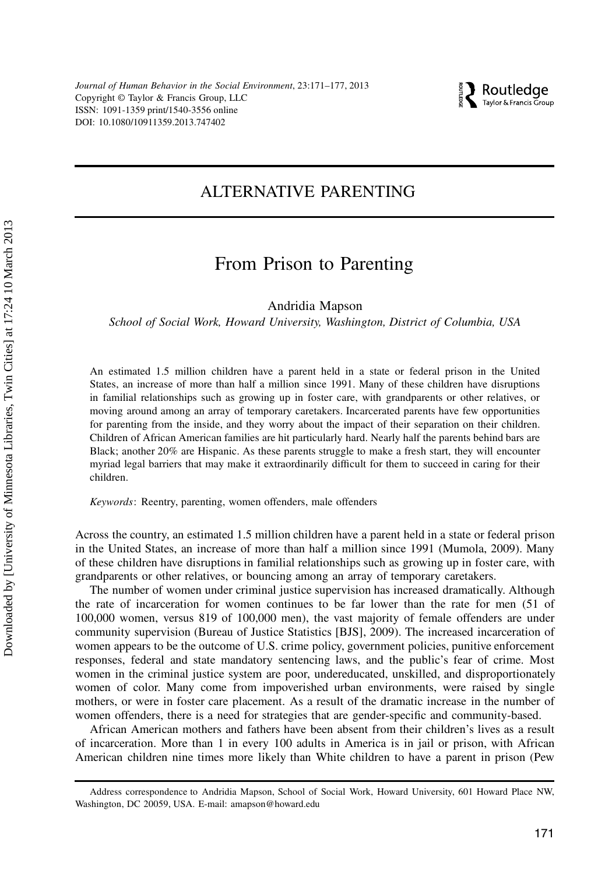## ALTERNATIVE PARENTING

# From Prison to Parenting

Andridia Mapson

School of Social Work, Howard University, Washington, District of Columbia, USA

An estimated 1.5 million children have a parent held in a state or federal prison in the United States, an increase of more than half a million since 1991. Many of these children have disruptions in familial relationships such as growing up in foster care, with grandparents or other relatives, or moving around among an array of temporary caretakers. Incarcerated parents have few opportunities for parenting from the inside, and they worry about the impact of their separation on their children. Children of African American families are hit particularly hard. Nearly half the parents behind bars are Black; another 20% are Hispanic. As these parents struggle to make a fresh start, they will encounter myriad legal barriers that may make it extraordinarily difficult for them to succeed in caring for their children.

Keywords: Reentry, parenting, women offenders, male offenders

Across the country, an estimated 1.5 million children have a parent held in a state or federal prison in the United States, an increase of more than half a million since 1991 (Mumola, 2009). Many of these children have disruptions in familial relationships such as growing up in foster care, with grandparents or other relatives, or bouncing among an array of temporary caretakers.

The number of women under criminal justice supervision has increased dramatically. Although the rate of incarceration for women continues to be far lower than the rate for men (51 of 100,000 women, versus 819 of 100,000 men), the vast majority of female offenders are under community supervision (Bureau of Justice Statistics [BJS], 2009). The increased incarceration of women appears to be the outcome of U.S. crime policy, government policies, punitive enforcement responses, federal and state mandatory sentencing laws, and the public's fear of crime. Most women in the criminal justice system are poor, undereducated, unskilled, and disproportionately women of color. Many come from impoverished urban environments, were raised by single mothers, or were in foster care placement. As a result of the dramatic increase in the number of women offenders, there is a need for strategies that are gender-specific and community-based.

African American mothers and fathers have been absent from their children's lives as a result of incarceration. More than 1 in every 100 adults in America is in jail or prison, with African American children nine times more likely than White children to have a parent in prison (Pew

Address correspondence to Andridia Mapson, School of Social Work, Howard University, 601 Howard Place NW, Washington, DC 20059, USA. E-mail: amapson@howard.edu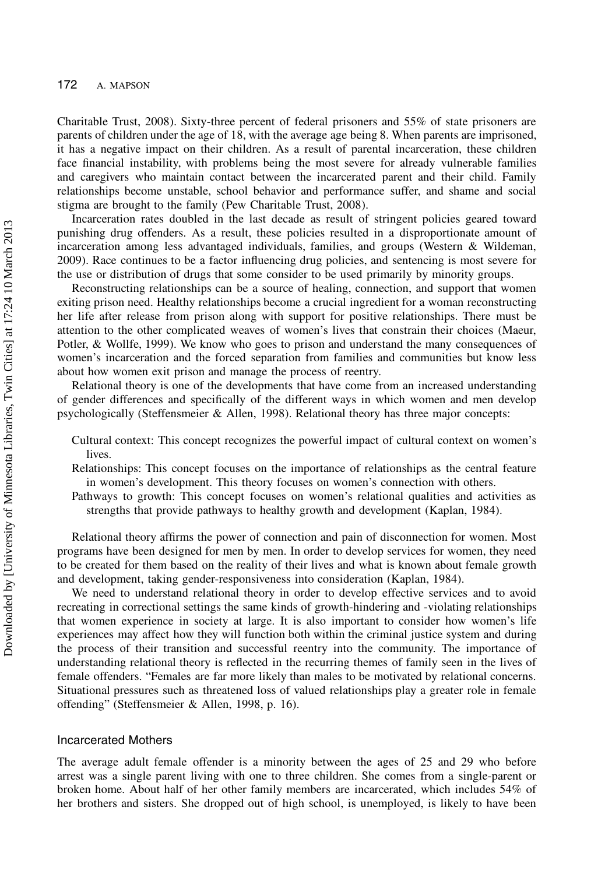Charitable Trust, 2008). Sixty-three percent of federal prisoners and 55% of state prisoners are parents of children under the age of 18, with the average age being 8. When parents are imprisoned, it has a negative impact on their children. As a result of parental incarceration, these children face financial instability, with problems being the most severe for already vulnerable families and caregivers who maintain contact between the incarcerated parent and their child. Family relationships become unstable, school behavior and performance suffer, and shame and social stigma are brought to the family (Pew Charitable Trust, 2008).

Incarceration rates doubled in the last decade as result of stringent policies geared toward punishing drug offenders. As a result, these policies resulted in a disproportionate amount of incarceration among less advantaged individuals, families, and groups (Western  $\&$  Wildeman, 2009). Race continues to be a factor influencing drug policies, and sentencing is most severe for the use or distribution of drugs that some consider to be used primarily by minority groups.

Reconstructing relationships can be a source of healing, connection, and support that women exiting prison need. Healthy relationships become a crucial ingredient for a woman reconstructing her life after release from prison along with support for positive relationships. There must be attention to the other complicated weaves of women's lives that constrain their choices (Maeur, Potler, & Wollfe, 1999). We know who goes to prison and understand the many consequences of women's incarceration and the forced separation from families and communities but know less about how women exit prison and manage the process of reentry.

Relational theory is one of the developments that have come from an increased understanding of gender differences and specifically of the different ways in which women and men develop psychologically (Steffensmeier & Allen, 1998). Relational theory has three major concepts:

Cultural context: This concept recognizes the powerful impact of cultural context on women's lives.

Relationships: This concept focuses on the importance of relationships as the central feature in women's development. This theory focuses on women's connection with others.

Pathways to growth: This concept focuses on women's relational qualities and activities as strengths that provide pathways to healthy growth and development (Kaplan, 1984).

Relational theory affirms the power of connection and pain of disconnection for women. Most programs have been designed for men by men. In order to develop services for women, they need to be created for them based on the reality of their lives and what is known about female growth and development, taking gender-responsiveness into consideration (Kaplan, 1984).

We need to understand relational theory in order to develop effective services and to avoid recreating in correctional settings the same kinds of growth-hindering and -violating relationships that women experience in society at large. It is also important to consider how women's life experiences may affect how they will function both within the criminal justice system and during the process of their transition and successful reentry into the community. The importance of understanding relational theory is reflected in the recurring themes of family seen in the lives of female offenders. "Females are far more likely than males to be motivated by relational concerns. Situational pressures such as threatened loss of valued relationships play a greater role in female offending" (Steffensmeier & Allen, 1998, p. 16).

#### Incarcerated Mothers

The average adult female offender is a minority between the ages of 25 and 29 who before arrest was a single parent living with one to three children. She comes from a single-parent or broken home. About half of her other family members are incarcerated, which includes 54% of her brothers and sisters. She dropped out of high school, is unemployed, is likely to have been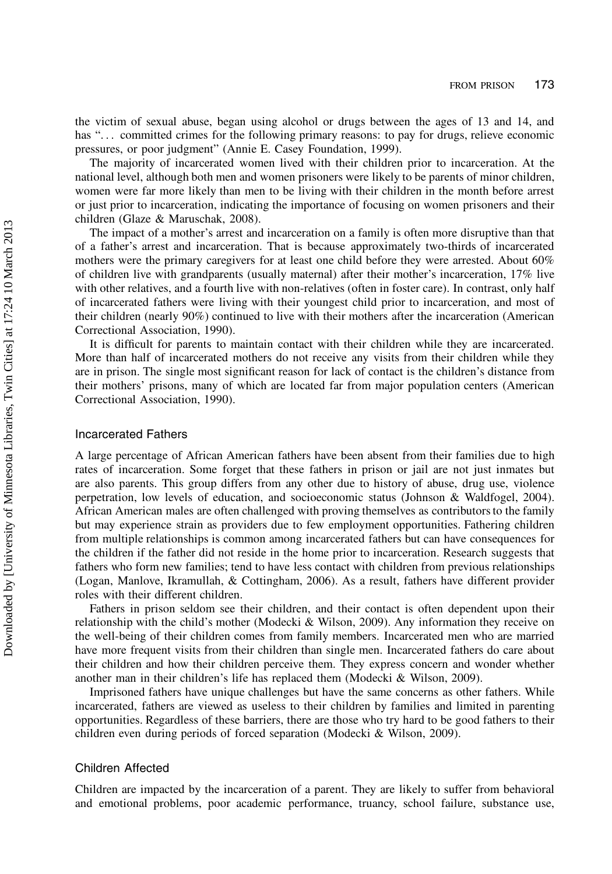the victim of sexual abuse, began using alcohol or drugs between the ages of 13 and 14, and has "... committed crimes for the following primary reasons: to pay for drugs, relieve economic pressures, or poor judgment" (Annie E. Casey Foundation, 1999).

The majority of incarcerated women lived with their children prior to incarceration. At the national level, although both men and women prisoners were likely to be parents of minor children, women were far more likely than men to be living with their children in the month before arrest or just prior to incarceration, indicating the importance of focusing on women prisoners and their children (Glaze & Maruschak, 2008).

The impact of a mother's arrest and incarceration on a family is often more disruptive than that of a father's arrest and incarceration. That is because approximately two-thirds of incarcerated mothers were the primary caregivers for at least one child before they were arrested. About 60% of children live with grandparents (usually maternal) after their mother's incarceration, 17% live with other relatives, and a fourth live with non-relatives (often in foster care). In contrast, only half of incarcerated fathers were living with their youngest child prior to incarceration, and most of their children (nearly 90%) continued to live with their mothers after the incarceration (American Correctional Association, 1990).

It is difficult for parents to maintain contact with their children while they are incarcerated. More than half of incarcerated mothers do not receive any visits from their children while they are in prison. The single most significant reason for lack of contact is the children's distance from their mothers' prisons, many of which are located far from major population centers (American Correctional Association, 1990).

## Incarcerated Fathers

A large percentage of African American fathers have been absent from their families due to high rates of incarceration. Some forget that these fathers in prison or jail are not just inmates but are also parents. This group differs from any other due to history of abuse, drug use, violence perpetration, low levels of education, and socioeconomic status (Johnson & Waldfogel, 2004). African American males are often challenged with proving themselves as contributors to the family but may experience strain as providers due to few employment opportunities. Fathering children from multiple relationships is common among incarcerated fathers but can have consequences for the children if the father did not reside in the home prior to incarceration. Research suggests that fathers who form new families; tend to have less contact with children from previous relationships (Logan, Manlove, Ikramullah, & Cottingham, 2006). As a result, fathers have different provider roles with their different children.

Fathers in prison seldom see their children, and their contact is often dependent upon their relationship with the child's mother (Modecki & Wilson, 2009). Any information they receive on the well-being of their children comes from family members. Incarcerated men who are married have more frequent visits from their children than single men. Incarcerated fathers do care about their children and how their children perceive them. They express concern and wonder whether another man in their children's life has replaced them (Modecki & Wilson, 2009).

Imprisoned fathers have unique challenges but have the same concerns as other fathers. While incarcerated, fathers are viewed as useless to their children by families and limited in parenting opportunities. Regardless of these barriers, there are those who try hard to be good fathers to their children even during periods of forced separation (Modecki & Wilson, 2009).

#### Children Affected

Children are impacted by the incarceration of a parent. They are likely to suffer from behavioral and emotional problems, poor academic performance, truancy, school failure, substance use,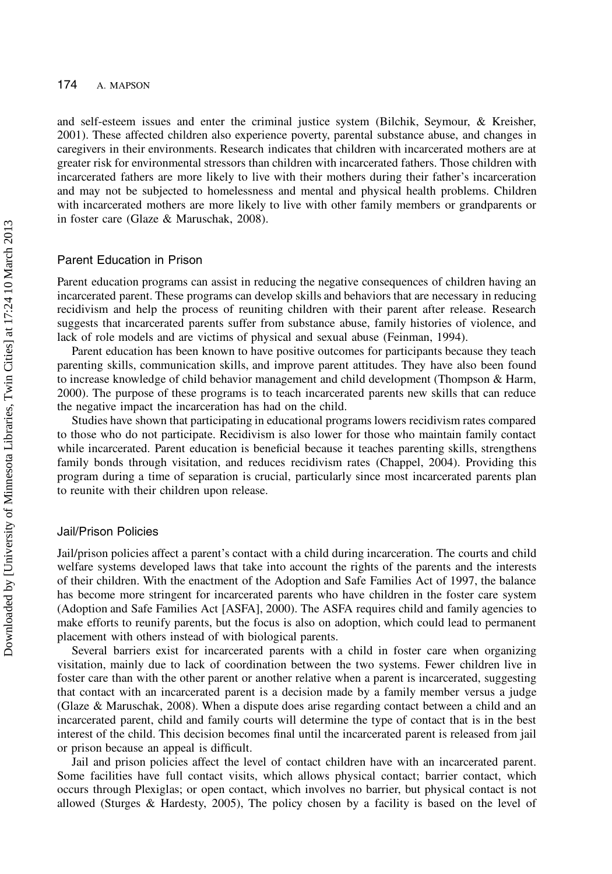## 174 A. MAPSON

and self-esteem issues and enter the criminal justice system (Bilchik, Seymour, & Kreisher, 2001). These affected children also experience poverty, parental substance abuse, and changes in caregivers in their environments. Research indicates that children with incarcerated mothers are at greater risk for environmental stressors than children with incarcerated fathers. Those children with incarcerated fathers are more likely to live with their mothers during their father's incarceration and may not be subjected to homelessness and mental and physical health problems. Children with incarcerated mothers are more likely to live with other family members or grandparents or in foster care (Glaze & Maruschak, 2008).

## Parent Education in Prison

Parent education programs can assist in reducing the negative consequences of children having an incarcerated parent. These programs can develop skills and behaviors that are necessary in reducing recidivism and help the process of reuniting children with their parent after release. Research suggests that incarcerated parents suffer from substance abuse, family histories of violence, and lack of role models and are victims of physical and sexual abuse (Feinman, 1994).

Parent education has been known to have positive outcomes for participants because they teach parenting skills, communication skills, and improve parent attitudes. They have also been found to increase knowledge of child behavior management and child development (Thompson & Harm, 2000). The purpose of these programs is to teach incarcerated parents new skills that can reduce the negative impact the incarceration has had on the child.

Studies have shown that participating in educational programs lowers recidivism rates compared to those who do not participate. Recidivism is also lower for those who maintain family contact while incarcerated. Parent education is beneficial because it teaches parenting skills, strengthens family bonds through visitation, and reduces recidivism rates (Chappel, 2004). Providing this program during a time of separation is crucial, particularly since most incarcerated parents plan to reunite with their children upon release.

## Jail/Prison Policies

Jail/prison policies affect a parent's contact with a child during incarceration. The courts and child welfare systems developed laws that take into account the rights of the parents and the interests of their children. With the enactment of the Adoption and Safe Families Act of 1997, the balance has become more stringent for incarcerated parents who have children in the foster care system (Adoption and Safe Families Act [ASFA], 2000). The ASFA requires child and family agencies to make efforts to reunify parents, but the focus is also on adoption, which could lead to permanent placement with others instead of with biological parents.

Several barriers exist for incarcerated parents with a child in foster care when organizing visitation, mainly due to lack of coordination between the two systems. Fewer children live in foster care than with the other parent or another relative when a parent is incarcerated, suggesting that contact with an incarcerated parent is a decision made by a family member versus a judge (Glaze & Maruschak, 2008). When a dispute does arise regarding contact between a child and an incarcerated parent, child and family courts will determine the type of contact that is in the best interest of the child. This decision becomes final until the incarcerated parent is released from jail or prison because an appeal is difficult.

Jail and prison policies affect the level of contact children have with an incarcerated parent. Some facilities have full contact visits, which allows physical contact; barrier contact, which occurs through Plexiglas; or open contact, which involves no barrier, but physical contact is not allowed (Sturges & Hardesty, 2005), The policy chosen by a facility is based on the level of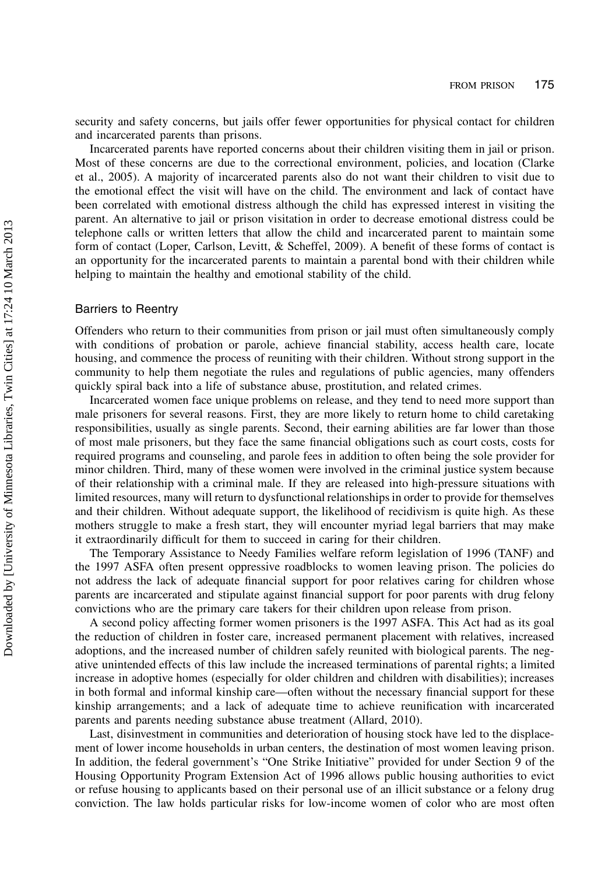security and safety concerns, but jails offer fewer opportunities for physical contact for children and incarcerated parents than prisons.

Incarcerated parents have reported concerns about their children visiting them in jail or prison. Most of these concerns are due to the correctional environment, policies, and location (Clarke et al., 2005). A majority of incarcerated parents also do not want their children to visit due to the emotional effect the visit will have on the child. The environment and lack of contact have been correlated with emotional distress although the child has expressed interest in visiting the parent. An alternative to jail or prison visitation in order to decrease emotional distress could be telephone calls or written letters that allow the child and incarcerated parent to maintain some form of contact (Loper, Carlson, Levitt, & Scheffel, 2009). A benefit of these forms of contact is an opportunity for the incarcerated parents to maintain a parental bond with their children while helping to maintain the healthy and emotional stability of the child.

## Barriers to Reentry

Offenders who return to their communities from prison or jail must often simultaneously comply with conditions of probation or parole, achieve financial stability, access health care, locate housing, and commence the process of reuniting with their children. Without strong support in the community to help them negotiate the rules and regulations of public agencies, many offenders quickly spiral back into a life of substance abuse, prostitution, and related crimes.

Incarcerated women face unique problems on release, and they tend to need more support than male prisoners for several reasons. First, they are more likely to return home to child caretaking responsibilities, usually as single parents. Second, their earning abilities are far lower than those of most male prisoners, but they face the same financial obligations such as court costs, costs for required programs and counseling, and parole fees in addition to often being the sole provider for minor children. Third, many of these women were involved in the criminal justice system because of their relationship with a criminal male. If they are released into high-pressure situations with limited resources, many will return to dysfunctional relationships in order to provide for themselves and their children. Without adequate support, the likelihood of recidivism is quite high. As these mothers struggle to make a fresh start, they will encounter myriad legal barriers that may make it extraordinarily difficult for them to succeed in caring for their children.

The Temporary Assistance to Needy Families welfare reform legislation of 1996 (TANF) and the 1997 ASFA often present oppressive roadblocks to women leaving prison. The policies do not address the lack of adequate financial support for poor relatives caring for children whose parents are incarcerated and stipulate against financial support for poor parents with drug felony convictions who are the primary care takers for their children upon release from prison.

A second policy affecting former women prisoners is the 1997 ASFA. This Act had as its goal the reduction of children in foster care, increased permanent placement with relatives, increased adoptions, and the increased number of children safely reunited with biological parents. The negative unintended effects of this law include the increased terminations of parental rights; a limited increase in adoptive homes (especially for older children and children with disabilities); increases in both formal and informal kinship care—often without the necessary financial support for these kinship arrangements; and a lack of adequate time to achieve reunification with incarcerated parents and parents needing substance abuse treatment (Allard, 2010).

Last, disinvestment in communities and deterioration of housing stock have led to the displacement of lower income households in urban centers, the destination of most women leaving prison. In addition, the federal government's "One Strike Initiative" provided for under Section 9 of the Housing Opportunity Program Extension Act of 1996 allows public housing authorities to evict or refuse housing to applicants based on their personal use of an illicit substance or a felony drug conviction. The law holds particular risks for low-income women of color who are most often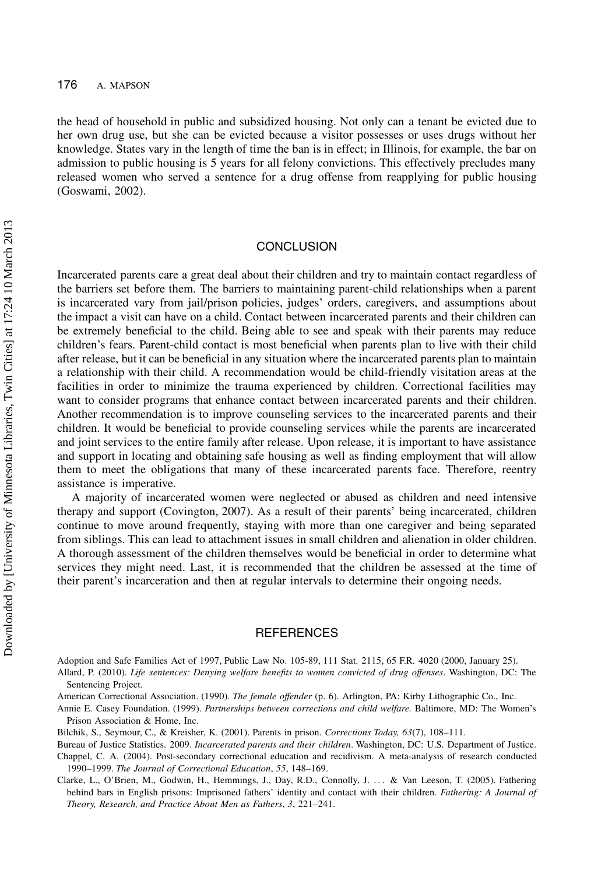## 176 A. MAPSON

the head of household in public and subsidized housing. Not only can a tenant be evicted due to her own drug use, but she can be evicted because a visitor possesses or uses drugs without her knowledge. States vary in the length of time the ban is in effect; in Illinois, for example, the bar on admission to public housing is 5 years for all felony convictions. This effectively precludes many released women who served a sentence for a drug offense from reapplying for public housing (Goswami, 2002).

## **CONCLUSION**

Incarcerated parents care a great deal about their children and try to maintain contact regardless of the barriers set before them. The barriers to maintaining parent-child relationships when a parent is incarcerated vary from jail/prison policies, judges' orders, caregivers, and assumptions about the impact a visit can have on a child. Contact between incarcerated parents and their children can be extremely beneficial to the child. Being able to see and speak with their parents may reduce children's fears. Parent-child contact is most beneficial when parents plan to live with their child after release, but it can be beneficial in any situation where the incarcerated parents plan to maintain a relationship with their child. A recommendation would be child-friendly visitation areas at the facilities in order to minimize the trauma experienced by children. Correctional facilities may want to consider programs that enhance contact between incarcerated parents and their children. Another recommendation is to improve counseling services to the incarcerated parents and their children. It would be beneficial to provide counseling services while the parents are incarcerated and joint services to the entire family after release. Upon release, it is important to have assistance and support in locating and obtaining safe housing as well as finding employment that will allow them to meet the obligations that many of these incarcerated parents face. Therefore, reentry assistance is imperative.

A majority of incarcerated women were neglected or abused as children and need intensive therapy and support (Covington, 2007). As a result of their parents' being incarcerated, children continue to move around frequently, staying with more than one caregiver and being separated from siblings. This can lead to attachment issues in small children and alienation in older children. A thorough assessment of the children themselves would be beneficial in order to determine what services they might need. Last, it is recommended that the children be assessed at the time of their parent's incarceration and then at regular intervals to determine their ongoing needs.

## **REFERENCES**

Adoption and Safe Families Act of 1997, Public Law No. 105-89, 111 Stat. 2115, 65 F.R. 4020 (2000, January 25).

Allard, P. (2010). Life sentences: Denying welfare benefits to women convicted of drug offenses. Washington, DC: The Sentencing Project.

1990–1999. The Journal of Correctional Education, 55, 148–169.

Clarke, L., O'Brien, M., Godwin, H., Hemmings, J., Day, R.D., Connolly, J. . . . & Van Leeson, T. (2005). Fathering behind bars in English prisons: Imprisoned fathers' identity and contact with their children. Fathering: A Journal of Theory, Research, and Practice About Men as Fathers, 3, 221–241.

American Correctional Association. (1990). The female offender (p. 6). Arlington, PA: Kirby Lithographic Co., Inc.

Annie E. Casey Foundation. (1999). Partnerships between corrections and child welfare. Baltimore, MD: The Women's Prison Association & Home, Inc.

Bilchik, S., Seymour, C., & Kreisher, K. (2001). Parents in prison. Corrections Today, 63(7), 108–111.

Bureau of Justice Statistics. 2009. Incarcerated parents and their children. Washington, DC: U.S. Department of Justice. Chappel, C. A. (2004). Post-secondary correctional education and recidivism. A meta-analysis of research conducted